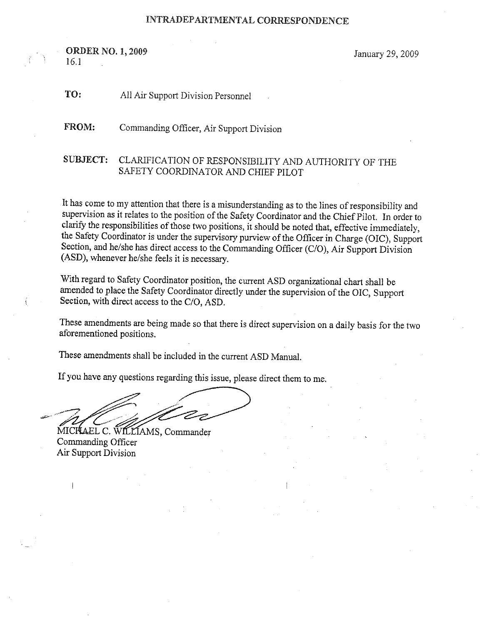## INTRADEPARTMENTAL CORRESPONDENCE

**ORDER NO. 1, 2009** January 29, 2009 I6.1

<sup>T</sup>O: AlI Air Support Division Personnel

<sup>F</sup>ROM: Commanding Officer, Air Support Division

## SUBJECT: CLARIFICATION OF RESPONSIBILITY AND AUTHORITY OF THE SAFETY COORDINATOR AND CHIEF PILOT

<sup>I</sup>t has come to my attention that there is a misunderstanding as to the lines of responsibility and supervision as it relates to the position of the Safety Coordinator and the Chief Pilot. In order to <sup>c</sup>larify the responsibilities of those two positions, it should be noted that, effective immediately, <sup>t</sup>he Safety Coordinator is under the supervisory purview of the Officer in Chazge (OIC), Support Section, and he/she has direct access to the Commanding Officer (C/O), Air Support Division (ASD), whenever he/she feels it is necessary.

<sup>W</sup>ith regard to Safety Coordinator position, the current ASD organizational chart shall be <sup>a</sup>mended to place the Safety Coordinator directly under the supervision of the OIC, Support <sup>S</sup>ection, with direct access to the C/O, ASD.

These amendments are being made so that there is direct supervision on a daily basis for the two <sup>a</sup>forementioned positions.

<sup>T</sup>hese amendments shall be included in the current ASD Manual.

<sup>I</sup>f you have any questions regarding this issue, please direct them to me.

... ~"~ ~'"

MICHAEL C. WILLIAMS, Commander Commanding Officer Air Support Division